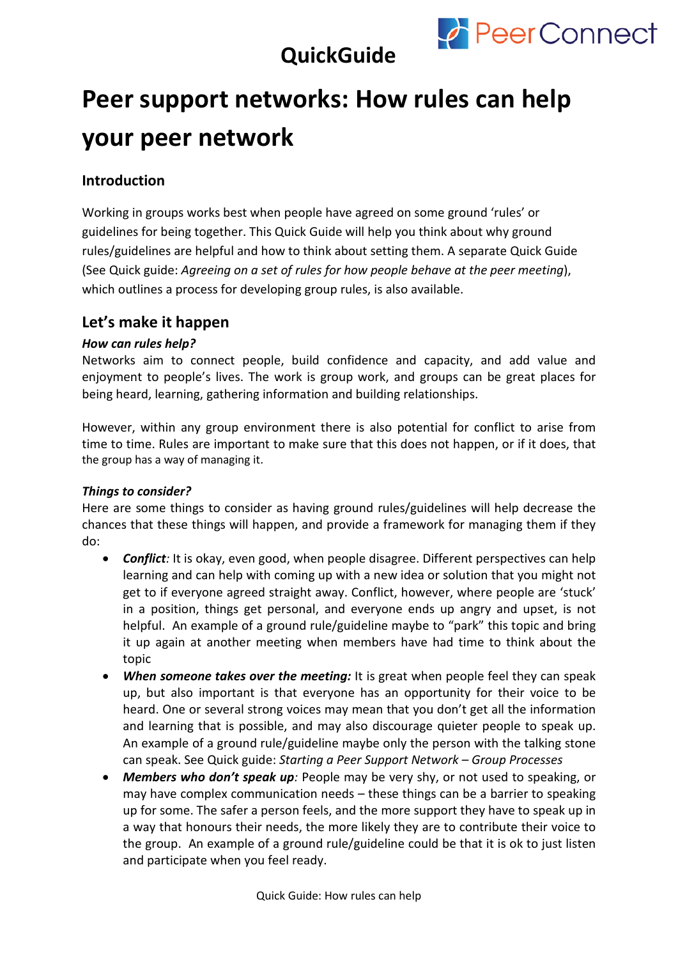

### **QuickGuide**

# **Peer support networks: How rules can help your peer network**

### **Introduction**

Working in groups works best when people have agreed on some ground 'rules' or guidelines for being together. This Quick Guide will help you think about why ground rules/guidelines are helpful and how to think about setting them. A separate Quick Guide (See Quick guide: *Agreeing on a set of rules for how people behave at the peer meeting*), which outlines a process for developing group rules, is also available.

### **Let's make it happen**

#### *How can rules help?*

Networks aim to connect people, build confidence and capacity, and add value and enjoyment to people's lives. The work is group work, and groups can be great places for being heard, learning, gathering information and building relationships.

However, within any group environment there is also potential for conflict to arise from time to time. Rules are important to make sure that this does not happen, or if it does, that the group has a way of managing it.

#### *Things to consider?*

Here are some things to consider as having ground rules/guidelines will help decrease the chances that these things will happen, and provide a framework for managing them if they do:

- *Conflict:* It is okay, even good, when people disagree. Different perspectives can help learning and can help with coming up with a new idea or solution that you might not get to if everyone agreed straight away. Conflict, however, where people are 'stuck' in a position, things get personal, and everyone ends up angry and upset, is not helpful. An example of a ground rule/guideline maybe to "park" this topic and bring it up again at another meeting when members have had time to think about the topic
- *When someone takes over the meeting:* It is great when people feel they can speak up, but also important is that everyone has an opportunity for their voice to be heard. One or several strong voices may mean that you don't get all the information and learning that is possible, and may also discourage quieter people to speak up. An example of a ground rule/guideline maybe only the person with the talking stone can speak. See Quick guide: *Starting a Peer Support Network – Group Processes*
- *Members who don't speak up:* People may be very shy, or not used to speaking, or may have complex communication needs – these things can be a barrier to speaking up for some. The safer a person feels, and the more support they have to speak up in a way that honours their needs, the more likely they are to contribute their voice to the group. An example of a ground rule/guideline could be that it is ok to just listen and participate when you feel ready.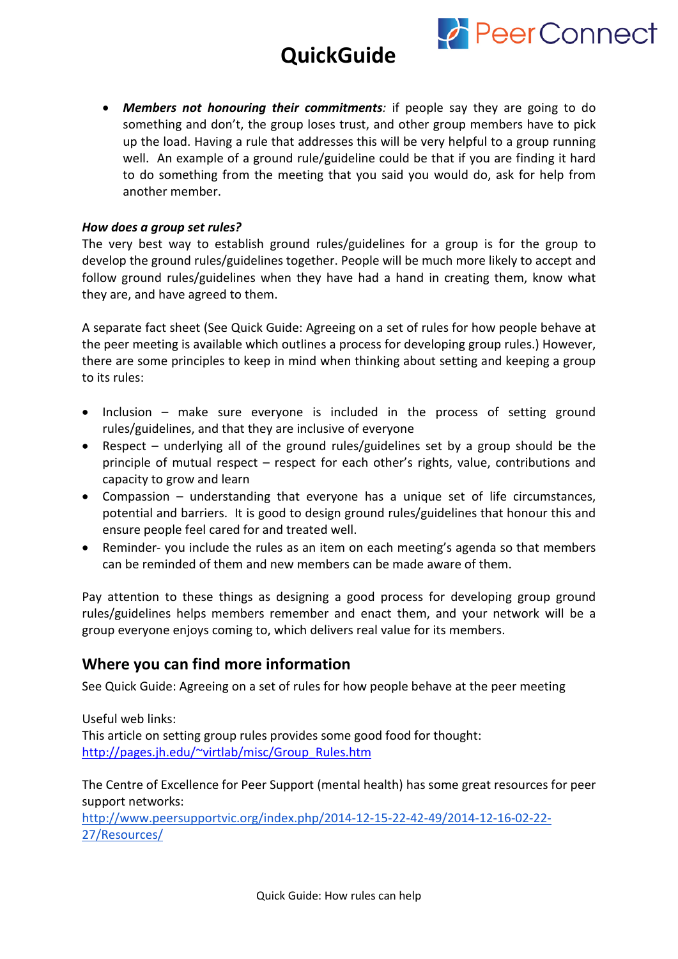# **QuickGuide**



• *Members not honouring their commitments:* if people say they are going to do something and don't, the group loses trust, and other group members have to pick up the load. Having a rule that addresses this will be very helpful to a group running well. An example of a ground rule/guideline could be that if you are finding it hard to do something from the meeting that you said you would do, ask for help from another member.

#### *How does a group set rules?*

The very best way to establish ground rules/guidelines for a group is for the group to develop the ground rules/guidelines together. People will be much more likely to accept and follow ground rules/guidelines when they have had a hand in creating them, know what they are, and have agreed to them.

A separate fact sheet (See Quick Guide: Agreeing on a set of rules for how people behave at the peer meeting is available which outlines a process for developing group rules.) However, there are some principles to keep in mind when thinking about setting and keeping a group to its rules:

- Inclusion make sure everyone is included in the process of setting ground rules/guidelines, and that they are inclusive of everyone
- Respect underlying all of the ground rules/guidelines set by a group should be the principle of mutual respect – respect for each other's rights, value, contributions and capacity to grow and learn
- Compassion understanding that everyone has a unique set of life circumstances, potential and barriers. It is good to design ground rules/guidelines that honour this and ensure people feel cared for and treated well.
- Reminder- you include the rules as an item on each meeting's agenda so that members can be reminded of them and new members can be made aware of them.

Pay attention to these things as designing a good process for developing group ground rules/guidelines helps members remember and enact them, and your network will be a group everyone enjoys coming to, which delivers real value for its members.

#### **Where you can find more information**

See Quick Guide: Agreeing on a set of rules for how people behave at the peer meeting

Useful web links: This article on setting group rules provides some good food for thought: [http://pages.jh.edu/~virtlab/misc/Group\\_Rules.htm](http://pages.jh.edu/%7Evirtlab/misc/Group_Rules.htm)

The Centre of Excellence for Peer Support (mental health) has some great resources for peer support networks:

[http://www.peersupportvic.org/index.php/2014-12-15-22-42-49/2014-12-16-02-22-](http://www.peersupportvic.org/index.php/2014-12-15-22-42-49/2014-12-16-02-22-27/Resources/) [27/Resources/](http://www.peersupportvic.org/index.php/2014-12-15-22-42-49/2014-12-16-02-22-27/Resources/)